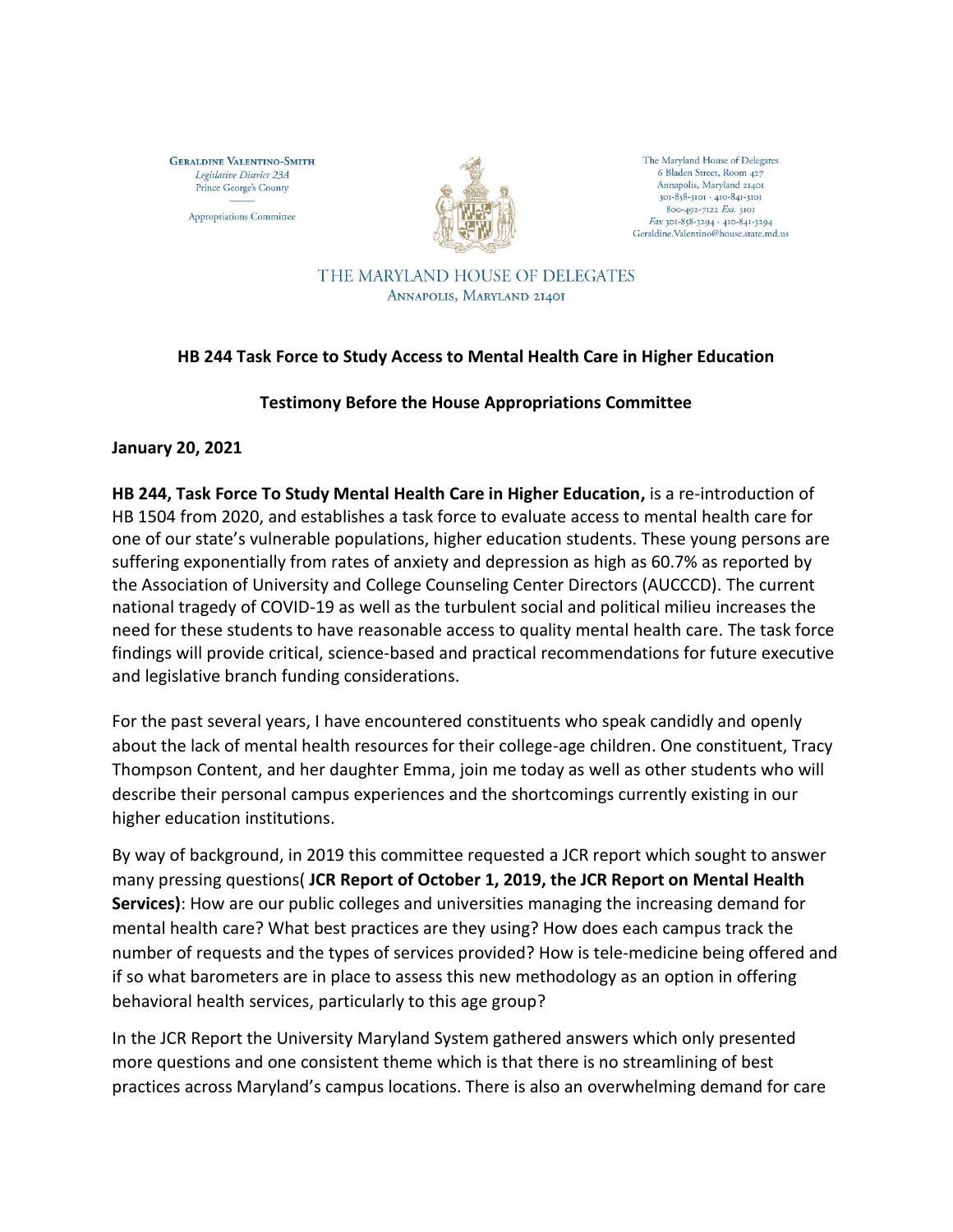**GERALDINE VALENTINO-SMITH** Legislative District 23A Prince George's County

Appropriations Committee



The Maryland House of Delegates 6 Bladen Street, Room 427 Annapolis, Maryland 21401 301-858-3101 · 410-841-3101 800-492-7122 Ext. 3101 Fax 301-858-3294 · 410-841-3294 Geraldine.Valentino@house.state.md.us

THE MARYLAND HOUSE OF DELEGATES ANNAPOLIS, MARYLAND 21401

## **HB 244 Task Force to Study Access to Mental Health Care in Higher Education**

## **Testimony Before the House Appropriations Committee**

**January 20, 2021** 

**HB 244, Task Force To Study Mental Health Care in Higher Education,** is a re-introduction of HB 1504 from 2020, and establishes a task force to evaluate access to mental health care for one of our state's vulnerable populations, higher education students. These young persons are suffering exponentially from rates of anxiety and depression as high as 60.7% as reported by the Association of University and College Counseling Center Directors (AUCCCD). The current national tragedy of COVID-19 as well as the turbulent social and political milieu increases the need for these students to have reasonable access to quality mental health care. The task force findings will provide critical, science-based and practical recommendations for future executive and legislative branch funding considerations.

For the past several years, I have encountered constituents who speak candidly and openly about the lack of mental health resources for their college-age children. One constituent, Tracy Thompson Content, and her daughter Emma, join me today as well as other students who will describe their personal campus experiences and the shortcomings currently existing in our higher education institutions.

By way of background, in 2019 this committee requested a JCR report which sought to answer many pressing questions( **JCR Report of October 1, 2019, the JCR Report on Mental Health Services)**: How are our public colleges and universities managing the increasing demand for mental health care? What best practices are they using? How does each campus track the number of requests and the types of services provided? How is tele-medicine being offered and if so what barometers are in place to assess this new methodology as an option in offering behavioral health services, particularly to this age group?

In the JCR Report the University Maryland System gathered answers which only presented more questions and one consistent theme which is that there is no streamlining of best practices across Maryland's campus locations. There is also an overwhelming demand for care